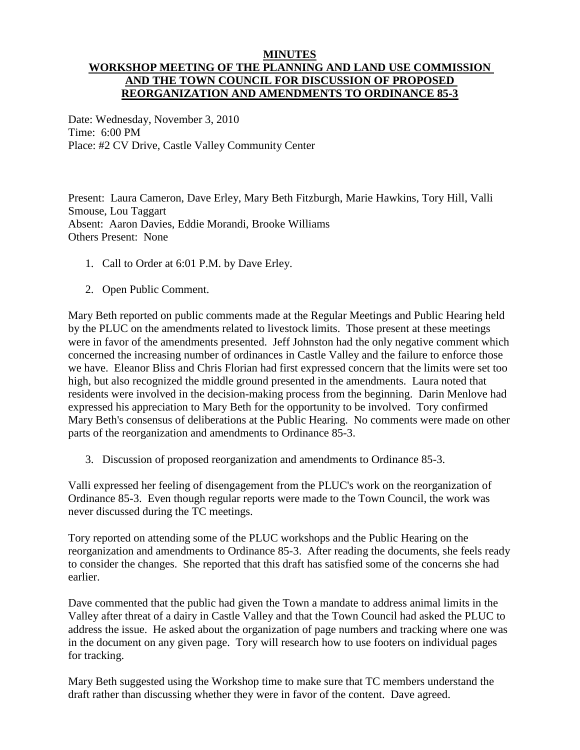## **MINUTES**

## **WORKSHOP MEETING OF THE PLANNING AND LAND USE COMMISSION AND THE TOWN COUNCIL FOR DISCUSSION OF PROPOSED REORGANIZATION AND AMENDMENTS TO ORDINANCE 85-3**

Date: Wednesday, November 3, 2010 Time: 6:00 PM Place: #2 CV Drive, Castle Valley Community Center

Present: Laura Cameron, Dave Erley, Mary Beth Fitzburgh, Marie Hawkins, Tory Hill, Valli Smouse, Lou Taggart Absent: Aaron Davies, Eddie Morandi, Brooke Williams Others Present: None

- 1. Call to Order at 6:01 P.M. by Dave Erley.
- 2. Open Public Comment.

Mary Beth reported on public comments made at the Regular Meetings and Public Hearing held by the PLUC on the amendments related to livestock limits. Those present at these meetings were in favor of the amendments presented. Jeff Johnston had the only negative comment which concerned the increasing number of ordinances in Castle Valley and the failure to enforce those we have. Eleanor Bliss and Chris Florian had first expressed concern that the limits were set too high, but also recognized the middle ground presented in the amendments. Laura noted that residents were involved in the decision-making process from the beginning. Darin Menlove had expressed his appreciation to Mary Beth for the opportunity to be involved. Tory confirmed Mary Beth's consensus of deliberations at the Public Hearing. No comments were made on other parts of the reorganization and amendments to Ordinance 85-3.

3. Discussion of proposed reorganization and amendments to Ordinance 85-3.

Valli expressed her feeling of disengagement from the PLUC's work on the reorganization of Ordinance 85-3. Even though regular reports were made to the Town Council, the work was never discussed during the TC meetings.

Tory reported on attending some of the PLUC workshops and the Public Hearing on the reorganization and amendments to Ordinance 85-3. After reading the documents, she feels ready to consider the changes. She reported that this draft has satisfied some of the concerns she had earlier.

Dave commented that the public had given the Town a mandate to address animal limits in the Valley after threat of a dairy in Castle Valley and that the Town Council had asked the PLUC to address the issue. He asked about the organization of page numbers and tracking where one was in the document on any given page. Tory will research how to use footers on individual pages for tracking.

Mary Beth suggested using the Workshop time to make sure that TC members understand the draft rather than discussing whether they were in favor of the content. Dave agreed.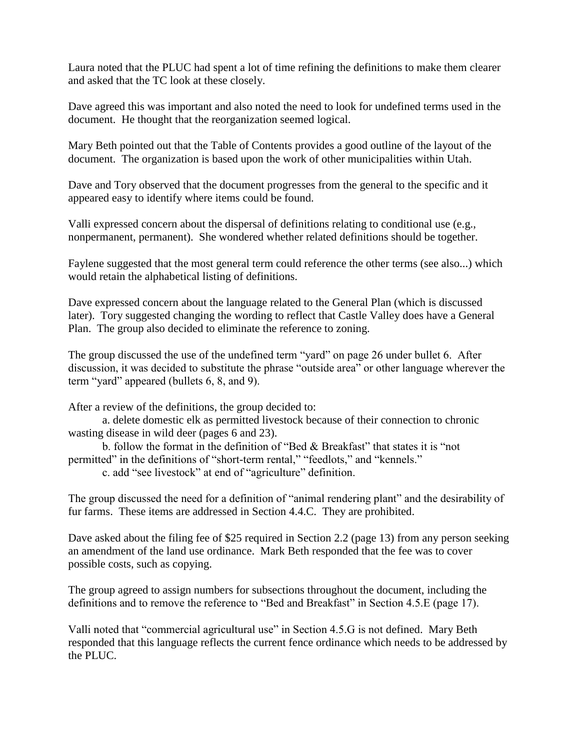Laura noted that the PLUC had spent a lot of time refining the definitions to make them clearer and asked that the TC look at these closely.

Dave agreed this was important and also noted the need to look for undefined terms used in the document. He thought that the reorganization seemed logical.

Mary Beth pointed out that the Table of Contents provides a good outline of the layout of the document. The organization is based upon the work of other municipalities within Utah.

Dave and Tory observed that the document progresses from the general to the specific and it appeared easy to identify where items could be found.

Valli expressed concern about the dispersal of definitions relating to conditional use (e.g., nonpermanent, permanent). She wondered whether related definitions should be together.

Faylene suggested that the most general term could reference the other terms (see also...) which would retain the alphabetical listing of definitions.

Dave expressed concern about the language related to the General Plan (which is discussed later). Tory suggested changing the wording to reflect that Castle Valley does have a General Plan. The group also decided to eliminate the reference to zoning.

The group discussed the use of the undefined term "yard" on page 26 under bullet 6. After discussion, it was decided to substitute the phrase "outside area" or other language wherever the term "yard" appeared (bullets 6, 8, and 9).

After a review of the definitions, the group decided to:

a. delete domestic elk as permitted livestock because of their connection to chronic wasting disease in wild deer (pages 6 and 23).

b. follow the format in the definition of "Bed & Breakfast" that states it is "not permitted" in the definitions of "short-term rental," "feedlots," and "kennels."

c. add "see livestock" at end of "agriculture" definition.

The group discussed the need for a definition of "animal rendering plant" and the desirability of fur farms. These items are addressed in Section 4.4.C. They are prohibited.

Dave asked about the filing fee of \$25 required in Section 2.2 (page 13) from any person seeking an amendment of the land use ordinance. Mark Beth responded that the fee was to cover possible costs, such as copying.

The group agreed to assign numbers for subsections throughout the document, including the definitions and to remove the reference to "Bed and Breakfast" in Section 4.5.E (page 17).

Valli noted that "commercial agricultural use" in Section 4.5.G is not defined. Mary Beth responded that this language reflects the current fence ordinance which needs to be addressed by the PLUC.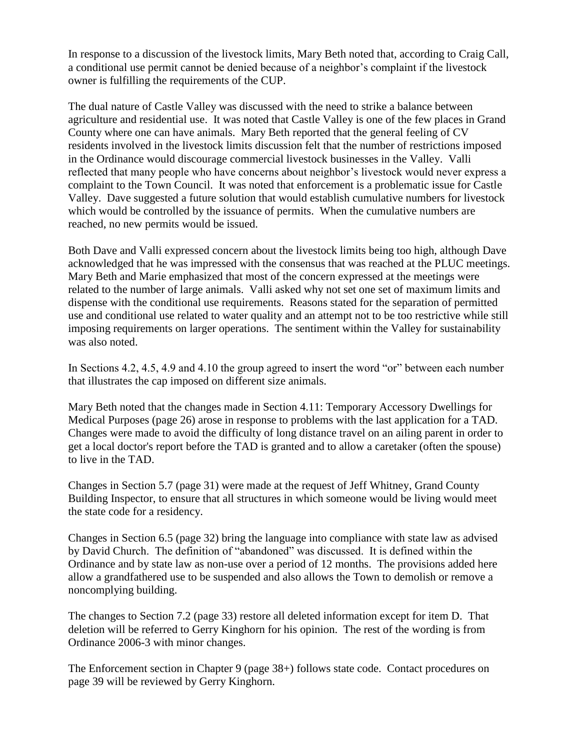In response to a discussion of the livestock limits, Mary Beth noted that, according to Craig Call, a conditional use permit cannot be denied because of a neighbor's complaint if the livestock owner is fulfilling the requirements of the CUP.

The dual nature of Castle Valley was discussed with the need to strike a balance between agriculture and residential use. It was noted that Castle Valley is one of the few places in Grand County where one can have animals. Mary Beth reported that the general feeling of CV residents involved in the livestock limits discussion felt that the number of restrictions imposed in the Ordinance would discourage commercial livestock businesses in the Valley. Valli reflected that many people who have concerns about neighbor's livestock would never express a complaint to the Town Council. It was noted that enforcement is a problematic issue for Castle Valley. Dave suggested a future solution that would establish cumulative numbers for livestock which would be controlled by the issuance of permits. When the cumulative numbers are reached, no new permits would be issued.

Both Dave and Valli expressed concern about the livestock limits being too high, although Dave acknowledged that he was impressed with the consensus that was reached at the PLUC meetings. Mary Beth and Marie emphasized that most of the concern expressed at the meetings were related to the number of large animals. Valli asked why not set one set of maximum limits and dispense with the conditional use requirements. Reasons stated for the separation of permitted use and conditional use related to water quality and an attempt not to be too restrictive while still imposing requirements on larger operations. The sentiment within the Valley for sustainability was also noted.

In Sections 4.2, 4.5, 4.9 and 4.10 the group agreed to insert the word "or" between each number that illustrates the cap imposed on different size animals.

Mary Beth noted that the changes made in Section 4.11: Temporary Accessory Dwellings for Medical Purposes (page 26) arose in response to problems with the last application for a TAD. Changes were made to avoid the difficulty of long distance travel on an ailing parent in order to get a local doctor's report before the TAD is granted and to allow a caretaker (often the spouse) to live in the TAD.

Changes in Section 5.7 (page 31) were made at the request of Jeff Whitney, Grand County Building Inspector, to ensure that all structures in which someone would be living would meet the state code for a residency.

Changes in Section 6.5 (page 32) bring the language into compliance with state law as advised by David Church. The definition of "abandoned" was discussed. It is defined within the Ordinance and by state law as non-use over a period of 12 months. The provisions added here allow a grandfathered use to be suspended and also allows the Town to demolish or remove a noncomplying building.

The changes to Section 7.2 (page 33) restore all deleted information except for item D. That deletion will be referred to Gerry Kinghorn for his opinion. The rest of the wording is from Ordinance 2006-3 with minor changes.

The Enforcement section in Chapter 9 (page 38+) follows state code. Contact procedures on page 39 will be reviewed by Gerry Kinghorn.